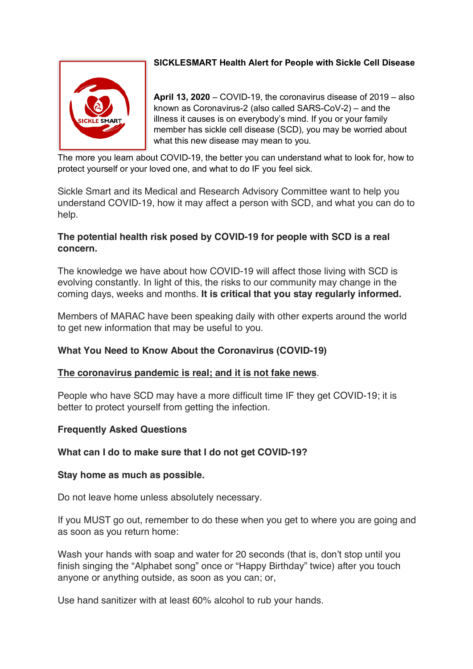

## **SICKLESMART Health Alert for People with Sickle Cell Disease**

**April 13, 2020** – COVID-19, the coronavirus disease of 2019 – also known as Coronavirus-2 (also called SARS-CoV-2) – and the illness it causes is on everybody's mind. If you or your family member has sickle cell disease (SCD), you may be worried about what this new disease may mean to you.

The more you learn about COVID-19, the better you can understand what to look for, how to protect yourself or your loved one, and what to do IF you feel sick.

Sickle Smart and its Medical and Research Advisory Committee want to help you understand COVID-19, how it may affect a person with SCD, and what you can do to help.

## **The potential health risk posed by COVID-19 for people with SCD is a real concern.**

The knowledge we have about how COVID-19 will affect those living with SCD is evolving constantly. In light of this, the risks to our community may change in the coming days, weeks and months. **It is critical that you stay regularly informed.**

Members of MARAC have been speaking daily with other experts around the world to get new information that may be useful to you.

# **What You Need to Know About the Coronavirus (COVID-19)**

## **The coronavirus pandemic is real; and it is not fake news**.

People who have SCD may have a more difficult time IF they get COVID-19; it is better to protect yourself from getting the infection.

## **Frequently Asked Questions**

#### **What can I do to make sure that I do not get COVID-19?**

#### **Stay home as much as possible.**

Do not leave home unless absolutely necessary.

If you MUST go out, remember to do these when you get to where you are going and as soon as you return home:

Wash your hands with soap and water for 20 seconds (that is, don't stop until you finish singing the "Alphabet song" once or "Happy Birthday" twice) after you touch anyone or anything outside, as soon as you can; or,

Use hand sanitizer with at least 60% alcohol to rub your hands.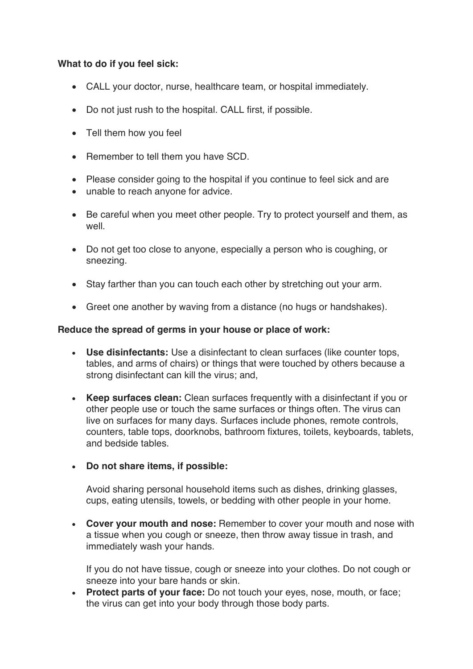### **What to do if you feel sick:**

- CALL your doctor, nurse, healthcare team, or hospital immediately.
- Do not just rush to the hospital. CALL first, if possible.
- Tell them how you feel
- Remember to tell them you have SCD.
- Please consider going to the hospital if you continue to feel sick and are
- unable to reach anyone for advice.
- Be careful when you meet other people. Try to protect yourself and them, as well
- Do not get too close to anyone, especially a person who is coughing, or sneezing.
- Stay farther than you can touch each other by stretching out your arm.
- Greet one another by waving from a distance (no hugs or handshakes).

### **Reduce the spread of germs in your house or place of work:**

- **Use disinfectants:** Use a disinfectant to clean surfaces (like counter tops, tables, and arms of chairs) or things that were touched by others because a strong disinfectant can kill the virus; and,
- **Keep surfaces clean:** Clean surfaces frequently with a disinfectant if you or other people use or touch the same surfaces or things often. The virus can live on surfaces for many days. Surfaces include phones, remote controls, counters, table tops, doorknobs, bathroom fixtures, toilets, keyboards, tablets, and bedside tables.

## • **Do not share items, if possible:**

Avoid sharing personal household items such as dishes, drinking glasses, cups, eating utensils, towels, or bedding with other people in your home.

• **Cover your mouth and nose:** Remember to cover your mouth and nose with a tissue when you cough or sneeze, then throw away tissue in trash, and immediately wash your hands.

If you do not have tissue, cough or sneeze into your clothes. Do not cough or sneeze into your bare hands or skin.

• **Protect parts of your face:** Do not touch your eyes, nose, mouth, or face; the virus can get into your body through those body parts.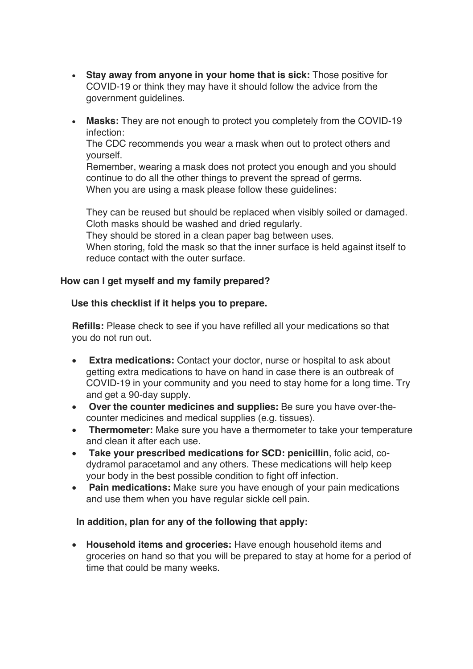- **Stay away from anyone in your home that is sick:** Those positive for COVID-19 or think they may have it should follow the advice from the government guidelines.
- **Masks:** They are not enough to protect you completely from the COVID-19 infection:

The CDC recommends you wear a mask when out to protect others and yourself.

Remember, wearing a mask does not protect you enough and you should continue to do all the other things to prevent the spread of germs. When you are using a mask please follow these guidelines:

They can be reused but should be replaced when visibly soiled or damaged. Cloth masks should be washed and dried regularly.

They should be stored in a clean paper bag between uses.

When storing, fold the mask so that the inner surface is held against itself to reduce contact with the outer surface.

### **How can I get myself and my family prepared?**

### **Use this checklist if it helps you to prepare.**

**Refills:** Please check to see if you have refilled all your medications so that you do not run out.

- **Extra medications:** Contact your doctor, nurse or hospital to ask about getting extra medications to have on hand in case there is an outbreak of COVID-19 in your community and you need to stay home for a long time. Try and get a 90-day supply.
- **Over the counter medicines and supplies:** Be sure you have over-thecounter medicines and medical supplies (e.g. tissues).
- **Thermometer:** Make sure you have a thermometer to take your temperature and clean it after each use.
- **Take your prescribed medications for SCD: penicillin**, folic acid, codydramol paracetamol and any others. These medications will help keep your body in the best possible condition to fight off infection.
- **Pain medications:** Make sure you have enough of your pain medications and use them when you have regular sickle cell pain.

#### **In addition, plan for any of the following that apply:**

• **Household items and groceries:** Have enough household items and groceries on hand so that you will be prepared to stay at home for a period of time that could be many weeks.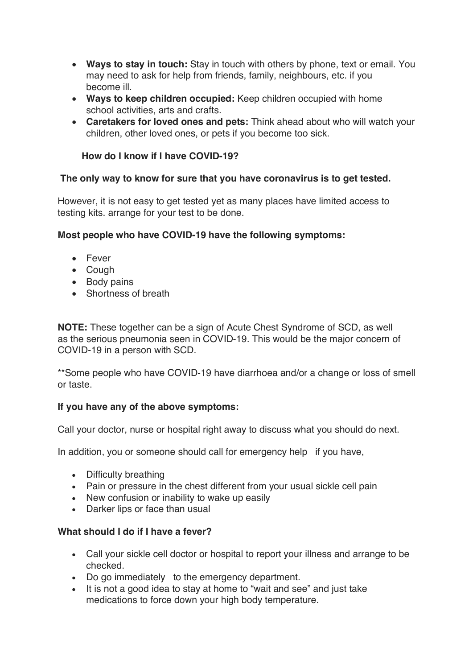- **Ways to stay in touch:** Stay in touch with others by phone, text or email. You may need to ask for help from friends, family, neighbours, etc. if you become ill.
- **Ways to keep children occupied:** Keep children occupied with home school activities, arts and crafts.
- **Caretakers for loved ones and pets:** Think ahead about who will watch your children, other loved ones, or pets if you become too sick.

### **How do I know if I have COVID-19?**

### **The only way to know for sure that you have coronavirus is to get tested.**

However, it is not easy to get tested yet as many places have limited access to testing kits. arrange for your test to be done.

### **Most people who have COVID-19 have the following symptoms:**

- Fever
- Cough
- Body pains
- Shortness of breath

**NOTE:** These together can be a sign of Acute Chest Syndrome of SCD, as well as the serious pneumonia seen in COVID-19. This would be the major concern of COVID-19 in a person with SCD.

\*\*Some people who have COVID-19 have diarrhoea and/or a change or loss of smell or taste.

## **If you have any of the above symptoms:**

Call your doctor, nurse or hospital right away to discuss what you should do next.

In addition, you or someone should call for emergency help if you have,

- Difficulty breathing
- Pain or pressure in the chest different from your usual sickle cell pain
- New confusion or inability to wake up easily
- Darker lips or face than usual

## **What should I do if I have a fever?**

- Call your sickle cell doctor or hospital to report your illness and arrange to be checked.
- Do go immediately to the emergency department.
- It is not a good idea to stay at home to "wait and see" and just take medications to force down your high body temperature.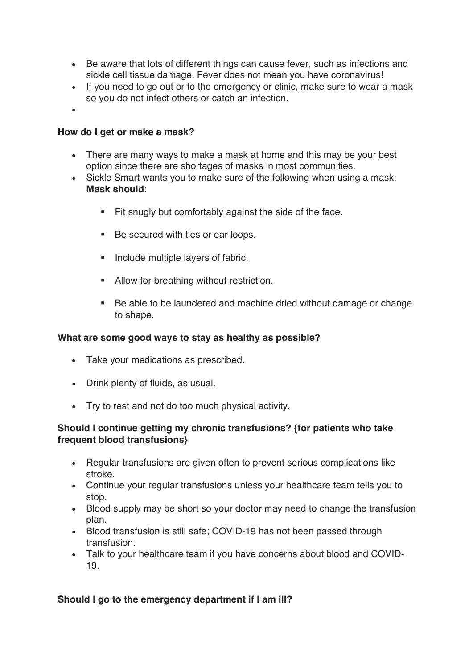- Be aware that lots of different things can cause fever, such as infections and sickle cell tissue damage. Fever does not mean you have coronavirus!
- If you need to go out or to the emergency or clinic, make sure to wear a mask so you do not infect others or catch an infection.
- •

#### **How do I get or make a mask?**

- There are many ways to make a mask at home and this may be your best option since there are shortages of masks in most communities.
- Sickle Smart wants you to make sure of the following when using a mask: **Mask should**:
	- Fit snugly but comfortably against the side of the face.
	- Be secured with ties or ear loops.
	- Include multiple layers of fabric.
	- **■** Allow for breathing without restriction.
	- § Be able to be laundered and machine dried without damage or change to shape.

#### **What are some good ways to stay as healthy as possible?**

- Take your medications as prescribed.
- Drink plenty of fluids, as usual.
- Try to rest and not do too much physical activity.

### **Should I continue getting my chronic transfusions? {for patients who take frequent blood transfusions}**

- Regular transfusions are given often to prevent serious complications like stroke.
- Continue your regular transfusions unless your healthcare team tells you to stop.
- Blood supply may be short so your doctor may need to change the transfusion plan.
- Blood transfusion is still safe; COVID-19 has not been passed through transfusion.
- Talk to your healthcare team if you have concerns about blood and COVID-19.

#### **Should I go to the emergency department if I am ill?**